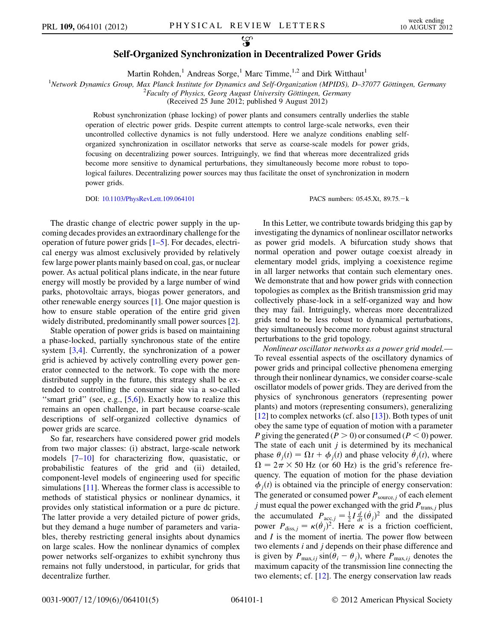## $\mathcal{L}$ Self-Organized Synchronization in Decentralized Power Grids

Martin Rohden,<sup>1</sup> Andreas Sorge,<sup>1</sup> Marc Timme,<sup>1,2</sup> and Dirk Witthaut<sup>1</sup>

<sup>1</sup>Network Dynamics Group, Max Planck Institute for Dynamics and Self-Organization (MPIDS), D–37077 Göttingen, Germany<br><sup>2</sup>Eggyly of Physics, Georg August University Göttingen, Germany

 $2F$ aculty of Physics, Georg August University Göttingen, Germany

(Received 25 June 2012; published 9 August 2012)

Robust synchronization (phase locking) of power plants and consumers centrally underlies the stable operation of electric power grids. Despite current attempts to control large-scale networks, even their uncontrolled collective dynamics is not fully understood. Here we analyze conditions enabling selforganized synchronization in oscillator networks that serve as coarse-scale models for power grids, focusing on decentralizing power sources. Intriguingly, we find that whereas more decentralized grids become more sensitive to dynamical perturbations, they simultaneously become more robust to topological failures. Decentralizing power sources may thus facilitate the onset of synchronization in modern power grids.

DOI: [10.1103/PhysRevLett.109.064101](http://dx.doi.org/10.1103/PhysRevLett.109.064101) PACS numbers: 05.45.Xt, 89.75. - k

The drastic change of electric power supply in the upcoming decades provides an extraordinary challenge for the operation of future power grids [[1](#page-4-0)[–5](#page-4-1)]. For decades, electrical energy was almost exclusively provided by relatively few large power plants mainly based on coal, gas, or nuclear power. As actual political plans indicate, in the near future energy will mostly be provided by a large number of wind parks, photovoltaic arrays, biogas power generators, and other renewable energy sources [\[1\]](#page-4-0). One major question is how to ensure stable operation of the entire grid given widely distributed, predominantly small power sources [[2\]](#page-4-2).

Stable operation of power grids is based on maintaining a phase-locked, partially synchronous state of the entire system [\[3](#page-4-3),[4](#page-4-4)]. Currently, the synchronization of a power grid is achieved by actively controlling every power generator connected to the network. To cope with the more distributed supply in the future, this strategy shall be extended to controlling the consumer side via a so-called "smart grid" (see, e.g.,  $[5,6]$  $[5,6]$  $[5,6]$ ). Exactly how to realize this remains an open challenge, in part because coarse-scale descriptions of self-organized collective dynamics of power grids are scarce.

So far, researchers have considered power grid models from two major classes: (i) abstract, large-scale network models [\[7](#page-4-6)–[10](#page-4-7)] for characterizing flow, quasistatic, or probabilistic features of the grid and (ii) detailed, component-level models of engineering used for specific simulations [\[11\]](#page-4-8). Whereas the former class is accessible to methods of statistical physics or nonlinear dynamics, it provides only statistical information or a pure dc picture. The latter provide a very detailed picture of power grids, but they demand a huge number of parameters and variables, thereby restricting general insights about dynamics on large scales. How the nonlinear dynamics of complex power networks self-organizes to exhibit synchrony thus remains not fully understood, in particular, for grids that decentralize further.

In this Letter, we contribute towards bridging this gap by investigating the dynamics of nonlinear oscillator networks as power grid models. A bifurcation study shows that normal operation and power outage coexist already in elementary model grids, implying a coexistence regime in all larger networks that contain such elementary ones. We demonstrate that and how power grids with connection topologies as complex as the British transmission grid may collectively phase-lock in a self-organized way and how they may fail. Intriguingly, whereas more decentralized grids tend to be less robust to dynamical perturbations, they simultaneously become more robust against structural perturbations to the grid topology.

Nonlinear oscillator networks as a power grid model.— To reveal essential aspects of the oscillatory dynamics of power grids and principal collective phenomena emerging through their nonlinear dynamics, we consider coarse-scale oscillator models of power grids. They are derived from the physics of synchronous generators (representing power plants) and motors (representing consumers), generalizing [\[12\]](#page-4-9) to complex networks (cf. also [\[13\]](#page-4-10)). Both types of unit obey the same type of equation of motion with a parameter P giving the generated ( $P > 0$ ) or consumed ( $P < 0$ ) power. The state of each unit  $j$  is determined by its mechanical phase  $\theta_j(t) = \Omega t + \phi_j(t)$  and phase velocity  $\dot{\theta}_j(t)$ , where  $\Omega = 2\pi \times 50$  Hz (or 60 Hz) is the grid's reference frequency. The equation of motion for the phase deviation  $\phi_j(t)$  is obtained via the principle of energy conservation: The generated or consumed power  $P_{source,i}$  of each element j must equal the power exchanged with the grid  $P_{trans,j}$  plus the accumulated  $P_{\text{acc},j} = \frac{1}{2} I \frac{d}{dt} (\dot{\theta}_j)^2$  and the dissipated power  $P_{\text{diss},j} = \kappa(\dot{\theta}_j)^2$ . Here  $\kappa$  is a friction coefficient, and  $I$  is the moment of inertia. The power flow between two elements  $i$  and  $j$  depends on their phase difference and is given by  $P_{\text{max},ij} \sin(\theta_i - \theta_j)$ , where  $P_{\text{max},ij}$  denotes the maximum capacity of the transmission line connecting the two elements; cf. [\[12\]](#page-4-9). The energy conservation law reads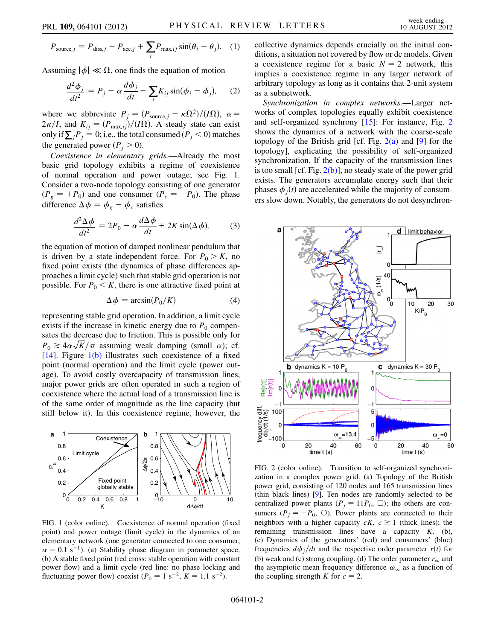$$
P_{\text{source},j} = P_{\text{diss},j} + P_{\text{acc},j} + \sum_{i} P_{\text{max},ij} \sin(\theta_i - \theta_j). \quad (1)
$$

Assuming  $|\dot{\phi}| \ll \Omega$ , one finds the equation of motion

$$
\frac{d^2\phi_j}{dt^2} = P_j - \alpha \frac{d\phi_j}{dt} - \sum_i K_{ij} \sin(\phi_i - \phi_j), \quad (2)
$$

where we abbreviate  $P_j = (P_{\text{source},j} - \kappa \Omega^2)/(I\Omega)$ ,  $\alpha =$  $2\kappa/l$ , and  $K_{ij} = (P_{\text{max},ij})/(I\Omega)$ . A steady state can exist only if  $\sum_j P_j = 0$ ; i.e., the total consumed ( $P_j < 0$ ) matches the generated power ( $P_i > 0$ ).

Coexistence in elementary grids.—Already the most basic grid topology exhibits a regime of coexistence of normal operation and power outage; see Fig. [1](#page-1-0). Consider a two-node topology consisting of one generator  $(P_g = +P_0)$  and one consumer  $(P_c = -P_0)$ . The phase difference  $\Delta \phi = \phi_g - \phi_c$  satisfies

$$
\frac{d^2\Delta\phi}{dt^2} = 2P_0 - \alpha \frac{d\Delta\phi}{dt} + 2K\sin(\Delta\phi),\tag{3}
$$

the equation of motion of damped nonlinear pendulum that is driven by a state-independent force. For  $P_0 > K$ , no fixed point exists (the dynamics of phase differences approaches a limit cycle) such that stable grid operation is not possible. For  $P_0 \le K$ , there is one attractive fixed point at

$$
\Delta \phi = \arcsin(P_0/K) \tag{4}
$$

representing stable grid operation. In addition, a limit cycle exists if the increase in kinetic energy due to  $P_0$  compensates the decrease due to friction. This is possible only for  $P_0 \geq 4\alpha\sqrt{K}/\pi$  assuming weak damping (small  $\alpha$ ); cf. [\[14\]](#page-4-11). Figure [1\(b\)](#page-1-1) illustrates such coexistence of a fixed point (normal operation) and the limit cycle (power outage). To avoid costly overcapacity of transmission lines, major power grids are often operated in such a region of coexistence where the actual load of a transmission line is of the same order of magnitude as the line capacity (but still below it). In this coexistence regime, however, the

<span id="page-1-0"></span>

<span id="page-1-1"></span>FIG. 1 (color online). Coexistence of normal operation (fixed point) and power outage (limit cycle) in the dynamics of an elementary network (one generator connected to one consumer,  $\alpha = 0.1 \text{ s}^{-1}$ ). (a) Stability phase diagram in parameter space. (b) A stable fixed point (red cross: stable operation with constant power flow) and a limit cycle (red line: no phase locking and fluctuating power flow) coexist ( $P_0 = 1$  s<sup>-2</sup>, K = 1.1 s<sup>-2</sup>).

collective dynamics depends crucially on the initial conditions, a situation not covered by flow or dc models. Given a coexistence regime for a basic  $N = 2$  network, this implies a coexistence regime in any larger network of arbitrary topology as long as it contains that 2-unit system as a subnetwork.

Synchronization in complex networks.—Larger networks of complex topologies equally exhibit coexistence and self-organized synchrony [\[15\]](#page-4-12): For instance, Fig. [2](#page-1-2) shows the dynamics of a network with the coarse-scale topology of the British grid [cf. Fig.  $2(a)$  and [[9](#page-4-13)] for the topology], explicating the possibility of self-organized synchronization. If the capacity of the transmission lines is too small [cf. Fig.  $2(b)$ ], no steady state of the power grid exists. The generators accumulate energy such that their phases  $\phi_j(t)$  are accelerated while the majority of consumers slow down. Notably, the generators do not desynchron-

<span id="page-1-2"></span>

<span id="page-1-3"></span>FIG. 2 (color online). Transition to self-organized synchronization in a complex power grid. (a) Topology of the British power grid, consisting of 120 nodes and 165 transmission lines (thin black lines) [[9\]](#page-4-13). Ten nodes are randomly selected to be centralized power plants ( $P_i = 11P_0$ ,  $\Box$ ); the others are consumers ( $P_i = -P_0$ ,  $\odot$ ). Power plants are connected to their neighbors with a higher capacity  $cK$ ,  $c \ge 1$  (thick lines); the remaining transmission lines have a capacity K. (b), (c) Dynamics of the generators' (red) and consumers' (blue) frequencies  $d\phi_j/dt$  and the respective order parameter  $r(t)$  for (b) weak and (c) strong coupling. (d) The order parameter  $r_{\infty}$  and the asymptotic mean frequency difference  $\omega_{\infty}$  as a function of the coupling strength K for  $c = 2$ .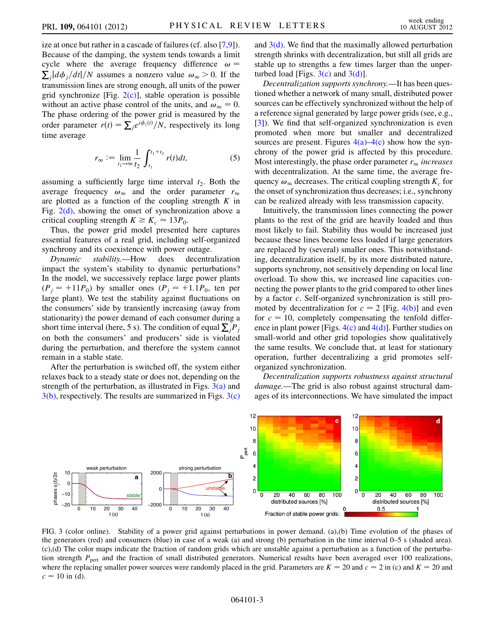ize at once but rather in a cascade of failures (cf. also [\[7,](#page-4-6)[9](#page-4-13)]). Because of the damping, the system tends towards a limit cycle where the average frequency difference  $\omega = \sum_j |d\phi_j/dt|/N$  assumes a nonzero value  $\omega_{\infty} > 0$ . If the transmission lines are strong enough, all units of the power grid synchronize [Fig.  $2(c)$ ], stable operation is possible without an active phase control of the units, and  $\omega_{\infty} = 0$ . The phase ordering of the power grid is measured by the order parameter  $r(t) = \sum_j e^{i\phi_j(t)}/N$ , respectively its long time average

$$
r_{\infty} := \lim_{t_1 \to \infty} \frac{1}{t_2} \int_{t_1}^{t_1 + t_2} r(t) dt, \tag{5}
$$

assuming a sufficiently large time interval  $t_2$ . Both the average frequency  $\omega_{\infty}$  and the order parameter  $r_{\infty}$ are plotted as a function of the coupling strength  $K$  in Fig.  $2(d)$ , showing the onset of synchronization above a critical coupling strength  $K \ge K_c \approx 13P_0$ .

Thus, the power grid model presented here captures essential features of a real grid, including self-organized synchrony and its coexistence with power outage.

Dynamic stability.—How does decentralization impact the system's stability to dynamic perturbations? In the model, we successively replace large power plants  $(P_j = +11P_0)$  by smaller ones  $(P_j = +1.1P_0$ , ten per large plant). We test the stability against fluctuations on the consumers' side by transiently increasing (away from stationarity) the power demand of each consumer during a short time interval (here, 5 s). The condition of equal  $\sum_j P_j$ on both the consumers' and producers' side is violated during the perturbation, and therefore the system cannot remain in a stable state.

After the perturbation is switched off, the system either relaxes back to a steady state or does not, depending on the strength of the perturbation, as illustrated in Figs.  $3(a)$  and  $3(b)$ , respectively. The results are summarized in Figs.  $3(c)$  and  $3(d)$ . We find that the maximally allowed perturbation strength shrinks with decentralization, but still all grids are stable up to strengths a few times larger than the unperturbed load [Figs.  $3(c)$  and  $3(d)$ ].

Decentralization supports synchrony.—It has been questioned whether a network of many small, distributed power sources can be effectively synchronized without the help of a reference signal generated by large power grids (see, e.g., [\[3\]](#page-4-3)). We find that self-organized synchronization is even promoted when more but smaller and decentralized sources are present. Figures  $4(a)$ – $4(c)$  show how the synchrony of the power grid is affected by this procedure. Most interestingly, the phase order parameter  $r_{\infty}$  increases with decentralization. At the same time, the average frequency  $\omega_{\infty}$  decreases. The critical coupling strength  $K_c$  for the onset of synchronization thus decreases; i.e., synchrony can be realized already with less transmission capacity.

Intuitively, the transmission lines connecting the power plants to the rest of the grid are heavily loaded and thus most likely to fail. Stability thus would be increased just because these lines become less loaded if large generators are replaced by (several) smaller ones. This notwithstanding, decentralization itself, by its more distributed nature, supports synchrony, not sensitively depending on local line overload. To show this, we increased line capacities connecting the power plants to the grid compared to other lines by a factor c. Self-organized synchronization is still promoted by decentralization for  $c = 2$  [Fig. [4\(b\)\]](#page-3-0) and even for  $c = 10$ , completely compensating the tenfold difference in plant power [Figs.  $4(c)$  and  $4(d)$ ]. Further studies on small-world and other grid topologies show qualitatively the same results. We conclude that, at least for stationary operation, further decentralizing a grid promotes selforganized synchronization.

Decentralization supports robustness against structural damage.—The grid is also robust against structural damages of its interconnections. We have simulated the impact

<span id="page-2-1"></span>

<span id="page-2-0"></span>FIG. 3 (color online). Stability of a power grid against perturbations in power demand. (a),(b) Time evolution of the phases of the generators (red) and consumers (blue) in case of a weak (a) and strong (b) perturbation in the time interval 0–5 s (shaded area). (c),(d) The color maps indicate the fraction of random grids which are unstable against a perturbation as a function of the perturbation strength  $P_{\text{pert}}$  and the fraction of small distributed generators. Numerical results have been averaged over 100 realizations, where the replacing smaller power sources were randomly placed in the grid. Parameters are  $K = 20$  and  $c = 2$  in (c) and  $K = 20$  and  $c = 10$  in (d).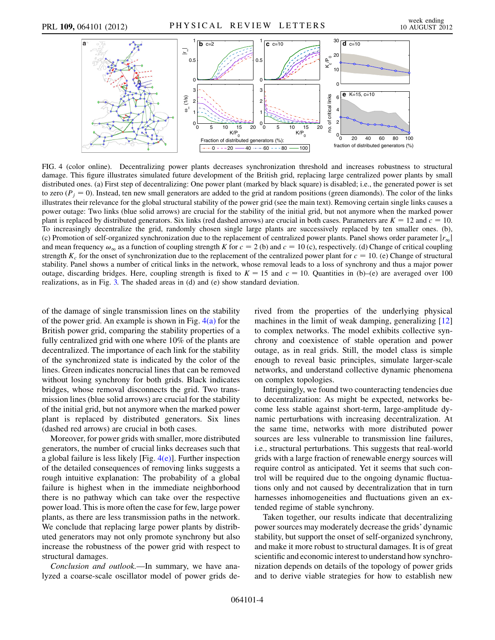

<span id="page-3-0"></span>FIG. 4 (color online). Decentralizing power plants decreases synchronization threshold and increases robustness to structural damage. This figure illustrates simulated future development of the British grid, replacing large centralized power plants by small distributed ones. (a) First step of decentralizing: One power plant (marked by black square) is disabled; i.e., the generated power is set to zero ( $P_i = 0$ ). Instead, ten new small generators are added to the grid at random positions (green diamonds). The color of the links illustrates their relevance for the global structural stability of the power grid (see the main text). Removing certain single links causes a power outage: Two links (blue solid arrows) are crucial for the stability of the initial grid, but not anymore when the marked power plant is replaced by distributed generators. Six links (red dashed arrows) are crucial in both cases. Parameters are  $K = 12$  and  $c = 10$ . To increasingly decentralize the grid, randomly chosen single large plants are successively replaced by ten smaller ones. (b), (c) Promotion of self-organized synchronization due to the replacement of centralized power plants. Panel shows order parameter  $|r_{\infty}|$ and mean frequency  $\omega_{\infty}$  as a function of coupling strength K for  $c = 2$  (b) and  $c = 10$  (c), respectively. (d) Change of critical coupling strength  $K_c$  for the onset of synchronization due to the replacement of the centralized power plant for  $c = 10$ . (e) Change of structural stability. Panel shows a number of critical links in the network, whose removal leads to a loss of synchrony and thus a major power outage, discarding bridges. Here, coupling strength is fixed to  $K = 15$  and  $c = 10$ . Quantities in (b)–(e) are averaged over 100 realizations, as in Fig. [3.](#page-2-1) The shaded areas in (d) and (e) show standard deviation.

of the damage of single transmission lines on the stability of the power grid. An example is shown in Fig.  $4(a)$  for the British power grid, comparing the stability properties of a fully centralized grid with one where 10% of the plants are decentralized. The importance of each link for the stability of the synchronized state is indicated by the color of the lines. Green indicates noncrucial lines that can be removed without losing synchrony for both grids. Black indicates bridges, whose removal disconnects the grid. Two transmission lines (blue solid arrows) are crucial for the stability of the initial grid, but not anymore when the marked power plant is replaced by distributed generators. Six lines (dashed red arrows) are crucial in both cases.

Moreover, for power grids with smaller, more distributed generators, the number of crucial links decreases such that a global failure is less likely [Fig.  $4(e)$ ]. Further inspection of the detailed consequences of removing links suggests a rough intuitive explanation: The probability of a global failure is highest when in the immediate neighborhood there is no pathway which can take over the respective power load. This is more often the case for few, large power plants, as there are less transmission paths in the network. We conclude that replacing large power plants by distributed generators may not only promote synchrony but also increase the robustness of the power grid with respect to structural damages.

Conclusion and outlook.—In summary, we have analyzed a coarse-scale oscillator model of power grids derived from the properties of the underlying physical machines in the limit of weak damping, generalizing [\[12\]](#page-4-9) to complex networks. The model exhibits collective synchrony and coexistence of stable operation and power outage, as in real grids. Still, the model class is simple enough to reveal basic principles, simulate larger-scale networks, and understand collective dynamic phenomena on complex topologies.

Intriguingly, we found two counteracting tendencies due to decentralization: As might be expected, networks become less stable against short-term, large-amplitude dynamic perturbations with increasing decentralization. At the same time, networks with more distributed power sources are less vulnerable to transmission line failures, i.e., structural perturbations. This suggests that real-world grids with a large fraction of renewable energy sources will require control as anticipated. Yet it seems that such control will be required due to the ongoing dynamic fluctuations only and not caused by decentralization that in turn harnesses inhomogeneities and fluctuations given an extended regime of stable synchrony.

Taken together, our results indicate that decentralizing power sources may moderately decrease the grids' dynamic stability, but support the onset of self-organized synchrony, and make it more robust to structural damages. It is of great scientific and economic interest to understand how synchronization depends on details of the topology of power grids and to derive viable strategies for how to establish new